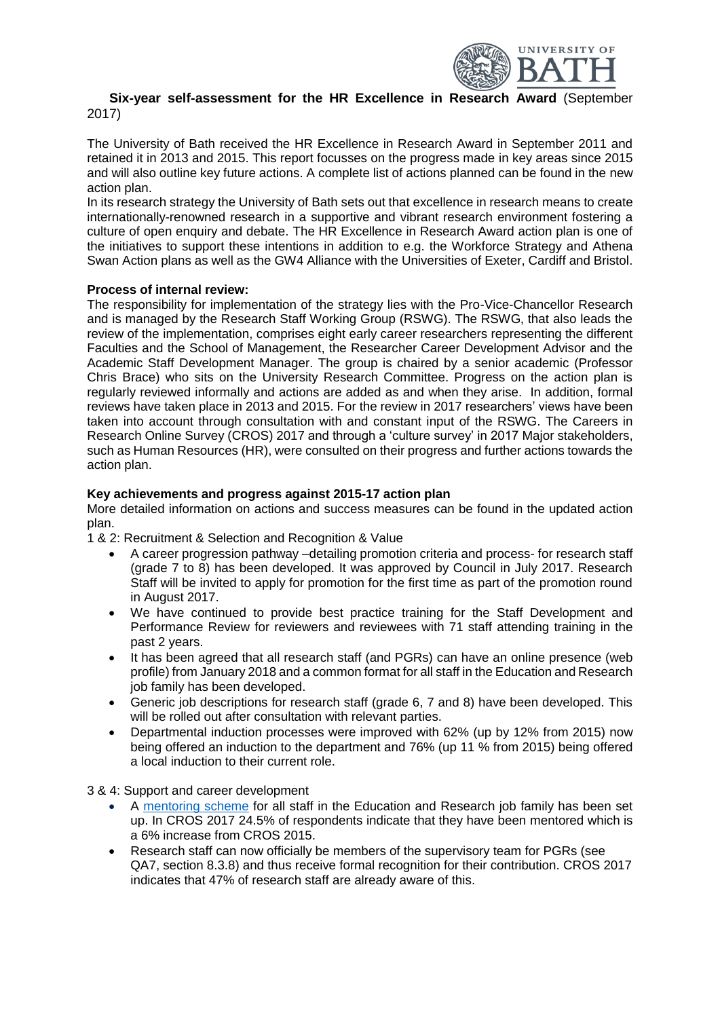

## **Six-year self-assessment for the HR Excellence in Research Award** (September 2017)

The University of Bath received the HR Excellence in Research Award in September 2011 and retained it in 2013 and 2015. This report focusses on the progress made in key areas since 2015 and will also outline key future actions. A complete list of actions planned can be found in the new action plan.

In its research strategy the University of Bath sets out that excellence in research means to create internationally-renowned research in a supportive and vibrant research environment fostering a culture of open enquiry and debate. The HR Excellence in Research Award action plan is one of the initiatives to support these intentions in addition to e.g. the Workforce Strategy and Athena Swan Action plans as well as the GW4 Alliance with the Universities of Exeter, Cardiff and Bristol.

## **Process of internal review:**

The responsibility for implementation of the strategy lies with the Pro-Vice-Chancellor Research and is managed by the Research Staff Working Group (RSWG). The RSWG, that also leads the review of the implementation, comprises eight early career researchers representing the different Faculties and the School of Management, the Researcher Career Development Advisor and the Academic Staff Development Manager. The group is chaired by a senior academic (Professor Chris Brace) who sits on the University Research Committee. Progress on the action plan is regularly reviewed informally and actions are added as and when they arise. In addition, formal reviews have taken place in 2013 and 2015. For the review in 2017 researchers' views have been taken into account through consultation with and constant input of the RSWG. The Careers in Research Online Survey (CROS) 2017 and through a 'culture survey' in 2017 Major stakeholders, such as Human Resources (HR), were consulted on their progress and further actions towards the action plan.

## **Key achievements and progress against 2015-17 action plan**

More detailed information on actions and success measures can be found in the updated action plan.

1 & 2: Recruitment & Selection and Recognition & Value

- A career progression pathway –detailing promotion criteria and process- for research staff (grade 7 to 8) has been developed. It was approved by Council in July 2017. Research Staff will be invited to apply for promotion for the first time as part of the promotion round in August 2017.
- We have continued to provide best practice training for the Staff Development and Performance Review for reviewers and reviewees with 71 staff attending training in the past 2 years.
- It has been agreed that all research staff (and PGRs) can have an online presence (web profile) from January 2018 and a common format for all staff in the Education and Research job family has been developed.
- Generic job descriptions for research staff (grade 6, 7 and 8) have been developed. This will be rolled out after consultation with relevant parties.
- Departmental induction processes were improved with 62% (up by 12% from 2015) now being offered an induction to the department and 76% (up 11 % from 2015) being offered a local induction to their current role.

3 & 4: Support and career development

- A [mentoring scheme](http://www.bath.ac.uk/hr/learning/individuals/coaching-mentoring/mentoring-education-research-job-family/index.html) for all staff in the Education and Research job family has been set up. In CROS 2017 24.5% of respondents indicate that they have been mentored which is a 6% increase from CROS 2015.
- Research staff can now officially be members of the supervisory team for PGRs (see QA7, section 8.3.8) and thus receive formal recognition for their contribution. CROS 2017 indicates that 47% of research staff are already aware of this.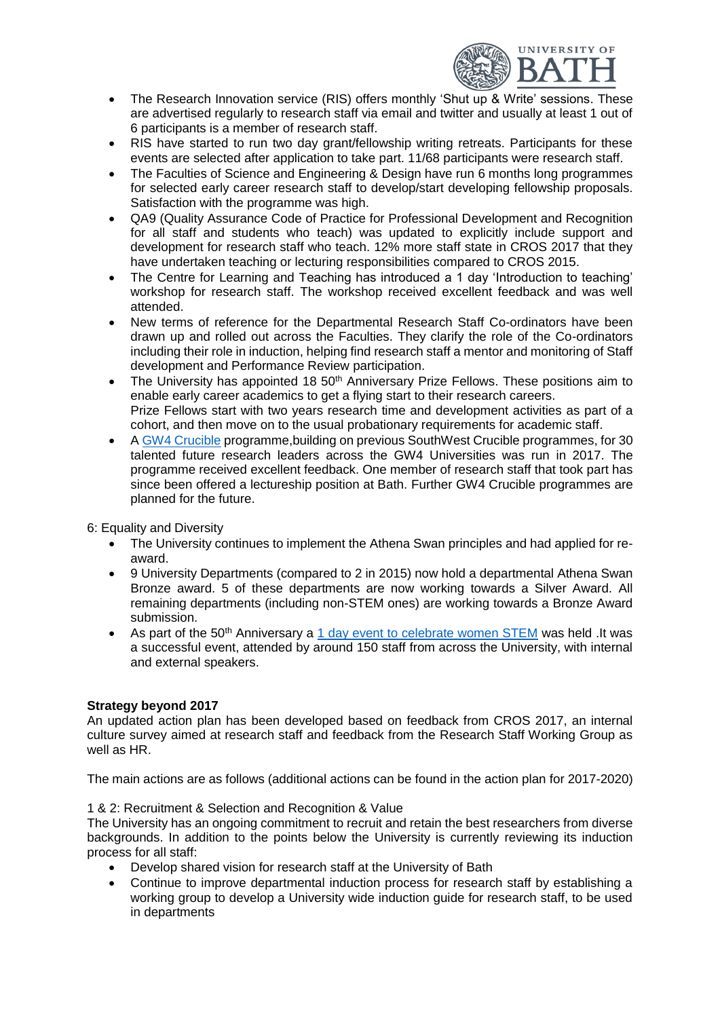

- The Research Innovation service (RIS) offers monthly 'Shut up & Write' sessions. These are advertised regularly to research staff via email and twitter and usually at least 1 out of 6 participants is a member of research staff.
- RIS have started to run two day grant/fellowship writing retreats. Participants for these events are selected after application to take part. 11/68 participants were research staff.
- The Faculties of Science and Engineering & Design have run 6 months long programmes for selected early career research staff to develop/start developing fellowship proposals. Satisfaction with the programme was high.
- QA9 (Quality Assurance Code of Practice for Professional Development and Recognition for all staff and students who teach) was updated to explicitly include support and development for research staff who teach. 12% more staff state in CROS 2017 that they have undertaken teaching or lecturing responsibilities compared to CROS 2015.
- The Centre for Learning and Teaching has introduced a 1 day 'Introduction to teaching' workshop for research staff. The workshop received excellent feedback and was well attended.
- New terms of reference for the Departmental Research Staff Co-ordinators have been drawn up and rolled out across the Faculties. They clarify the role of the Co-ordinators including their role in induction, helping find research staff a mentor and monitoring of Staff development and Performance Review participation.
- The University has appointed 18 50<sup>th</sup> Anniversary Prize Fellows. These positions aim to enable early career academics to get a flying start to their research careers. Prize Fellows start with two years research time and development activities as part of a cohort, and then move on to the usual probationary requirements for academic staff.
- [A GW4 Crucible](http://gw4.ac.uk/developing-our-staff/gw4-crucible/) programme,building on previous SouthWest Crucible programmes, for 30 talented future research leaders across the GW4 Universities was run in 2017. The programme received excellent feedback. One member of research staff that took part has since been offered a lectureship position at Bath. Further GW4 Crucible programmes are planned for the future.

6: Equality and Diversity

- The University continues to implement the Athena Swan principles and had applied for reaward.
- 9 University Departments (compared to 2 in 2015) now hold a departmental Athena Swan Bronze award. 5 of these departments are now working towards a Silver Award. All remaining departments (including non-STEM ones) are working towards a Bronze Award submission.
- As part of the 50<sup>th</sup> Anniversary a  $1$  day event to celebrate women STEM was held .It was a successful event, attended by around 150 staff from across the University, with internal and external speakers.

# **Strategy beyond 2017**

An updated action plan has been developed based on feedback from CROS 2017, an internal culture survey aimed at research staff and feedback from the Research Staff Working Group as well as HR

The main actions are as follows (additional actions can be found in the action plan for 2017-2020)

#### 1 & 2: Recruitment & Selection and Recognition & Value

The University has an ongoing commitment to recruit and retain the best researchers from diverse backgrounds. In addition to the points below the University is currently reviewing its induction process for all staff:

- Develop shared vision for research staff at the University of Bath
- Continue to improve departmental induction process for research staff by establishing a working group to develop a University wide induction guide for research staff, to be used in departments